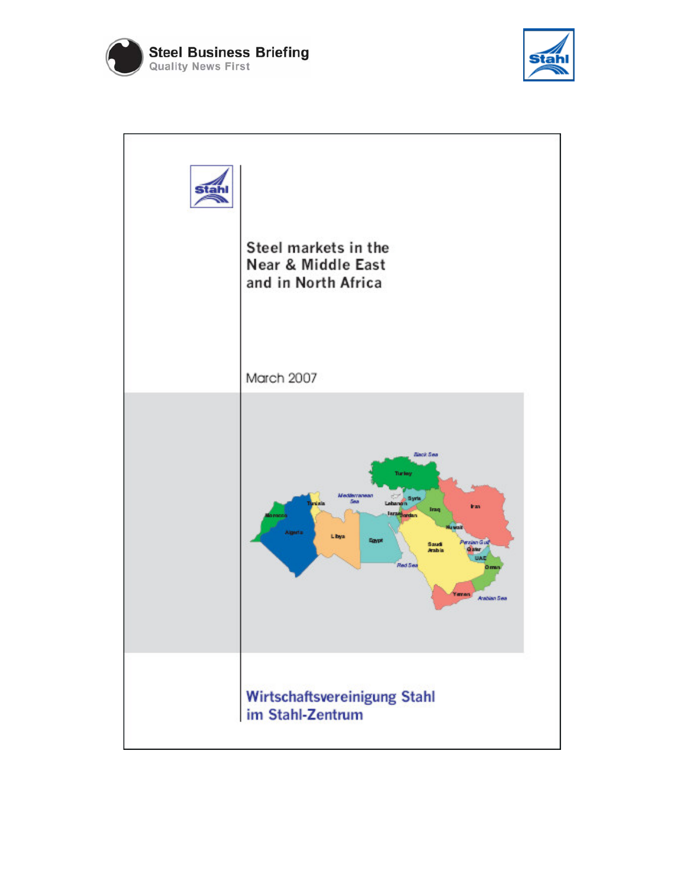



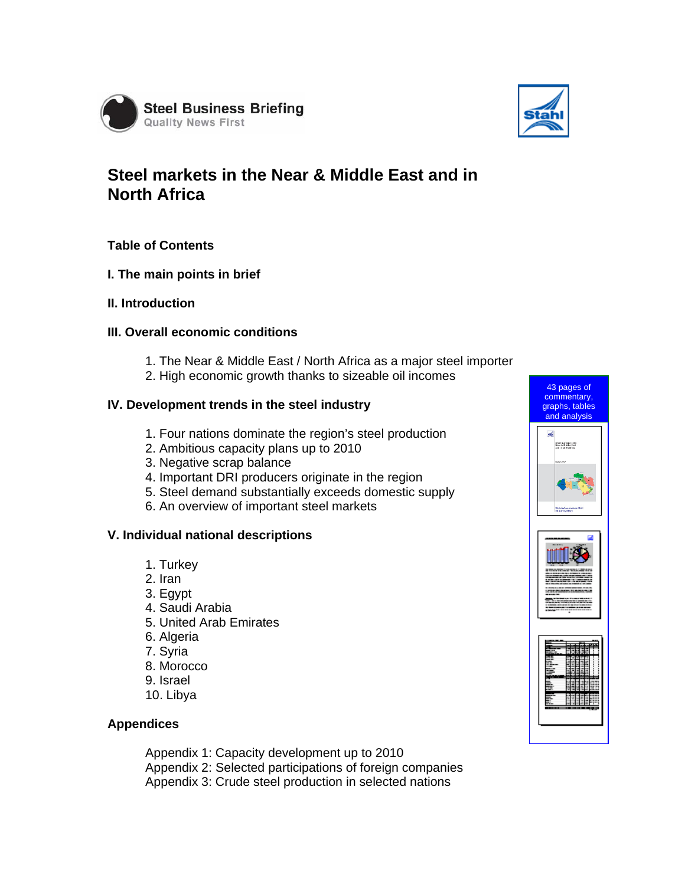



# **Steel markets in the Near & Middle East and in North Africa**

## **Table of Contents**

## **I. The main points in brief**

**II. Introduction** 

#### **III. Overall economic conditions**

- 1. The Near & Middle East / North Africa as a major steel importer
- 2. High economic growth thanks to sizeable oil incomes

#### **IV. Development trends in the steel industry**

- 1. Four nations dominate the region's steel production
- 2. Ambitious capacity plans up to 2010
- 3. Negative scrap balance
- 4. Important DRI producers originate in the region
- 5. Steel demand substantially exceeds domestic supply
- 6. An overview of important steel markets

## **V. Individual national descriptions**

- 1. Turkey
- 2. Iran
- 3. Egypt
- 4. Saudi Arabia
- 5. United Arab Emirates
- 6. Algeria
- 7. Syria
- 8. Morocco
- 9. Israel
- 10. Libya

#### **Appendices**

Appendix 1: Capacity development up to 2010 Appendix 2: Selected participations of foreign companies Appendix 3: Crude steel production in selected nations